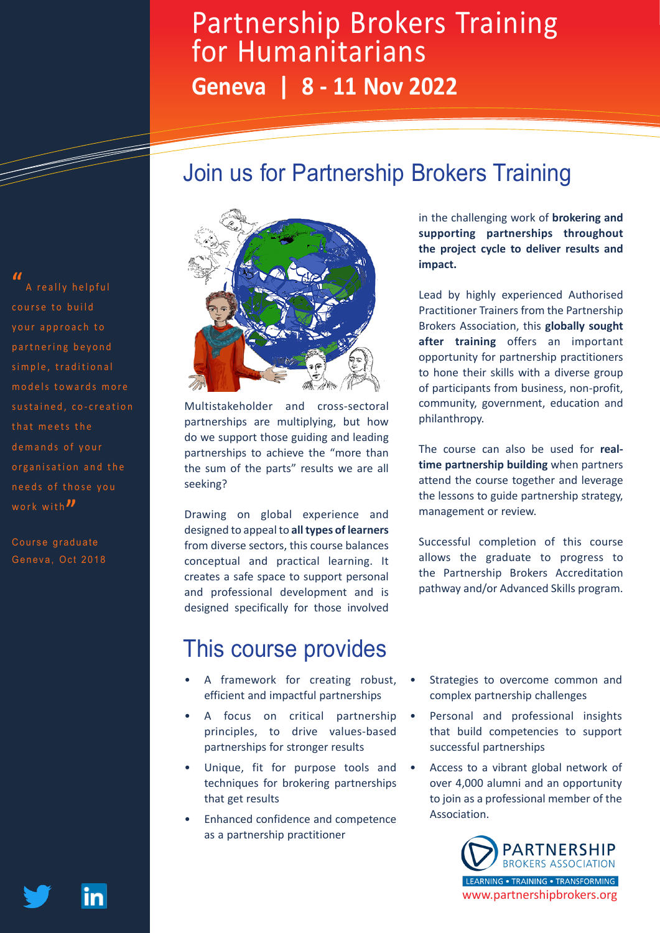# Partnership Brokers Training for Humanitarians **Geneva | 8 - 11 Nov 2022**

### Join us for Partnership Brokers Training



Multistakeholder and cross-sectoral partnerships are multiplying, but how do we support those guiding and leading partnerships to achieve the "more than the sum of the parts" results we are all seeking?

Drawing on global experience and designed to appeal to **all types of learners**  from diverse sectors, this course balances conceptual and practical learning. It creates a safe space to support personal and professional development and is designed specifically for those involved

### This course provides

- A framework for creating robust, efficient and impactful partnerships
- A focus on critical partnership principles, to drive values-based partnerships for stronger results
- Unique, fit for purpose tools and techniques for brokering partnerships that get results
- Enhanced confidence and competence as a partnership practitioner

in the challenging work of **brokering and supporting partnerships throughout the project cycle to deliver results and impact.**

Lead by highly experienced Authorised Practitioner Trainers from the Partnership Brokers Association, this **globally sought after training** offers an important opportunity for partnership practitioners to hone their skills with a diverse group of participants from business, non-profit, community, government, education and philanthropy.

The course can also be used for **realtime partnership building** when partners attend the course together and leverage the lessons to guide partnership strategy, management or review.

Successful completion of this course allows the graduate to progress to the Partnership Brokers Accreditation pathway and/or Advanced Skills program.

- Strategies to overcome common and complex partnership challenges
- Personal and professional insights that build competencies to support successful partnerships
- Access to a vibrant global network of over 4,000 alumni and an opportunity to join as a professional member of the Association.



**"** A really helpful your approach to partnering beyond simple, traditional models towards more sustained, co-creation that meets the demands of your organisation and the needs of those you work with<sup>"</sup>

Course graduate Geneva, Oct 2018

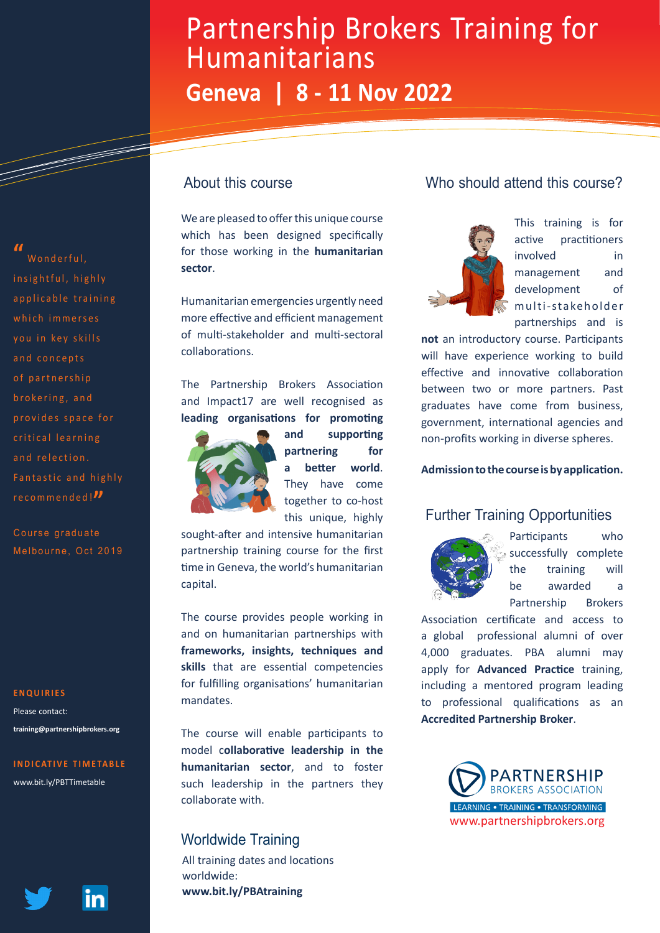# Partnership Brokers Training for Humanitarians **Geneva | 8 - 11 Nov 2022**

### About this course

We are pleased to offer this unique course which has been designed specifically for those working in the **humanitarian sector**.

Humanitarian emergencies urgently need more effective and efficient management of multi-stakeholder and multi-sectoral collaborations.

The Partnership Brokers Association and Impact17 are well recognised as **leading organisations for promoting** 



**and supporting partnering for a better world**. They have come together to co-host this unique, highly

sought-after and intensive humanitarian partnership training course for the first time in Geneva, the world's humanitarian capital.

The course provides people working in and on humanitarian partnerships with **frameworks, insights, techniques and skills** that are essential competencies for fulfilling organisations' humanitarian mandates.

The course will enable participants to model c**ollaborative leadership in the humanitarian sector**, and to foster such leadership in the partners they collaborate with.

#### Worldwide Training

All training dates and locations worldwide: **www.bit.ly/PBAtraining**

### Who should attend this course?



This training is for active practitioners involved in management and development of multi-stakeholder partnerships and is

**not** an introductory course. Participants will have experience working to build effective and innovative collaboration between two or more partners. Past graduates have come from business, government, international agencies and non-profits working in diverse spheres.

**Admission to the course is by application.**

#### Further Training Opportunities



Participants who successfully complete the training will be awarded a Partnership Brokers

Association certificate and access to a global professional alumni of over 4,000 graduates. PBA alumni may apply for **Advanced Practice** training, including a mentored program leading to professional qualifications as an **Accredited Partnership Broker**.



### insightful, highly a p p l i c a b l e t r a i n i n g which immerses vou in kev skills and concepts of partnership brokering, and

Wonderful.

**"**

provides space for critical learning and relection. Fantastic and highly recommended!**"**

Course graduate Melbourne, Oct 2019

#### **ENQUIRIES**

Please contact: **training@partnershipbrokers.org**

#### **INDICATIVE TIMETABLE**

www.bit.ly/PBTTimetable

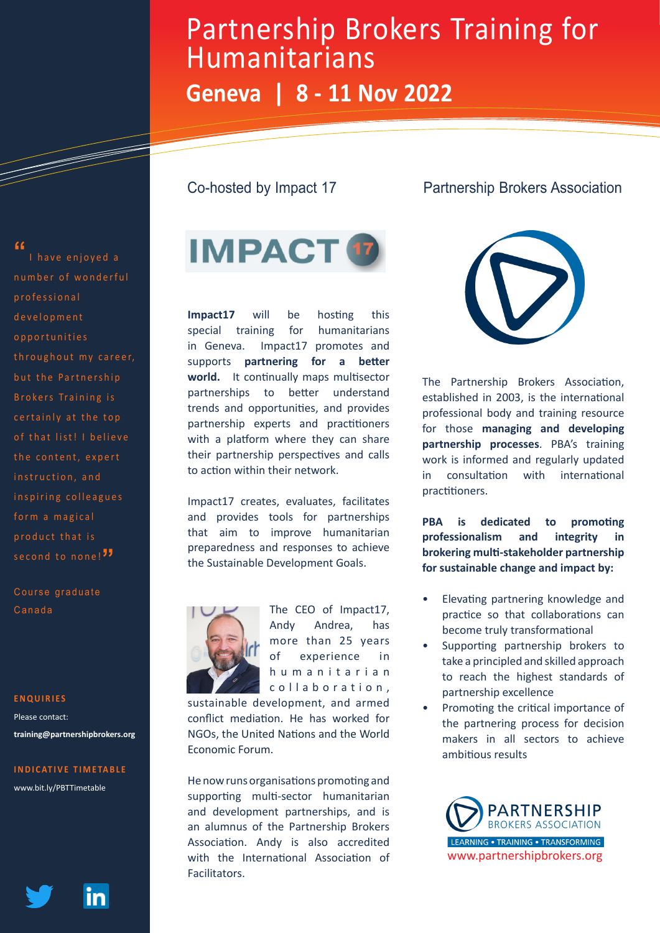# Partnership Brokers Training for Humanitarians

# **Geneva | 8 - 11 Nov 2022**

#### Co-hosted by Impact 17

### Partnership Brokers Association



**Impact17** will be hosting this special training for humanitarians in Geneva. Impact17 promotes and supports **partnering for a better**  world. It continually maps multisector partnerships to better understand trends and opportunities, and provides partnership experts and practitioners with a platform where they can share their partnership perspectives and calls to action within their network.

Impact17 creates, evaluates, facilitates and provides tools for partnerships that aim to improve humanitarian preparedness and responses to achieve the Sustainable Development Goals.



The CEO of Impact17, Andy Andrea, has more than 25 years of experience in h u m a n i t a r i a n c o l l a b o r a t i o n .

sustainable development, and armed conflict mediation. He has worked for NGOs, the United Nations and the World Economic Forum.

He now runs organisations promoting and supporting multi-sector humanitarian and development partnerships, and is an alumnus of the Partnership Brokers Association. Andy is also accredited with the International Association of Facilitators.



The Partnership Brokers Association, established in 2003, is the international professional body and training resource for those **managing and developing partnership processes**. PBA's training work is informed and regularly updated in consultation with international practitioners.

**PBA is dedicated to promoting professionalism and integrity in brokering multi-stakeholder partnership for sustainable change and impact by:**

- Elevating partnering knowledge and practice so that collaborations can become truly transformational
- Supporting partnership brokers to take a principled and skilled approach to reach the highest standards of partnership excellence
- Promoting the critical importance of the partnering process for decision makers in all sectors to achieve ambitious results

**PARTNERSHIP BROKERS ASSOCIATION** LEARNING . TRAINING . TRANSFORMING www.partnershipbrokers.org

#### **"**

number of wonderful professional d e v e l o p m e n t o p p o r t u n i t i e s throughout my career, but the Partnership Brokers Training is certainly at the top of that list! I believe the content, expert instruction, and inspiring colleagues form a magical product that is second to none!<sup>"</sup>

I have enjoyed a

a de de la década de la década de la década de la década de la década de la década de la década de la década d<br>Casa de la década de la década de la década de la década de la década de la década de la década de la década d

Course graduate Canada

#### **ENQUIRIES**

Please contact: **training@partnershipbrokers.org**

#### **INDICATIVE TIMETABLE**

www.bit.ly/PBTTimetable